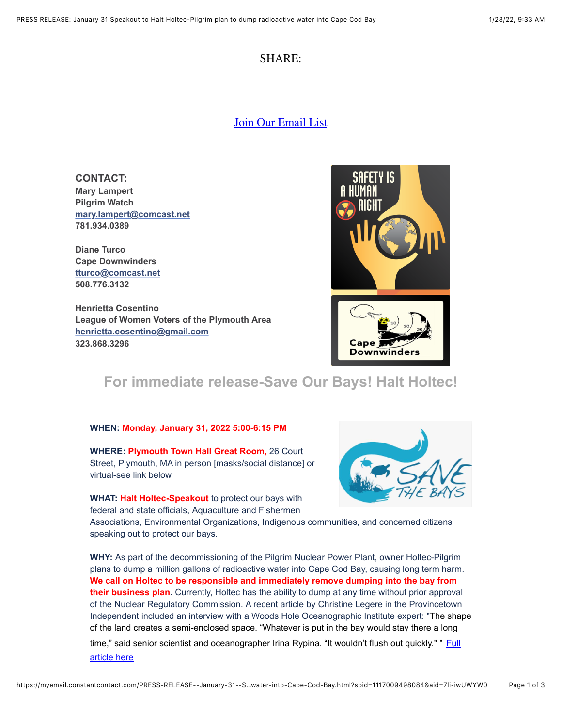### SHARE:

[Join Our Email List](https://visitor.constantcontact.com/d.jsp?m=1117009498084&p=oi)

**CONTACT: Mary Lampert Pilgrim Watch [mary.lampert@comcast.net](mailto:mary.lampert@comcast.net) 781.934.0389**

**Diane Turco Cape Downwinders [tturco@comcast.net](mailto:tturco@comcast.net) 508.776.3132**

**Henrietta Cosentino League of Women Voters of the Plymouth Area [henrietta.cosentino@gmail.com](mailto:henrietta.cosentino@gmail.com) 323.868.3296**



## **For immediate release-Save Our Bays! Halt Holtec!**

#### **WHEN: Monday, January 31, 2022 5:00-6:15 PM**

**WHERE: Plymouth Town Hall Great Room,** 26 Court Street, Plymouth, MA in person [masks/social distance] or virtual-see link below

**WHAT: Halt Holtec-Speakout** to protect our bays with federal and state officials, Aquaculture and Fishermen



Associations, Environmental Organizations, Indigenous communities, and concerned citizens speaking out to protect our bays.

**WHY:** As part of the decommissioning of the Pilgrim Nuclear Power Plant, owner Holtec-Pilgrim plans to dump a million gallons of radioactive water into Cape Cod Bay, causing long term harm. **We call on Holtec to be responsible and immediately remove dumping into the bay from their business plan.** Currently, Holtec has the ability to dump at any time without prior approval of the Nuclear Regulatory Commission. A recent article by Christine Legere in the Provincetown Independent included an interview with a Woods Hole Oceanographic Institute expert: "The shape of the land creates a semi-enclosed space. "Whatever is put in the bay would stay there a long

[time," said senior scientist and oceanographer Irina Rypina. "It wouldn't flush out quickly." "](https://provincetownindependent.org/news/2022/01/26/shape-of-bay-means-poisons-would-linger/) **Full** article here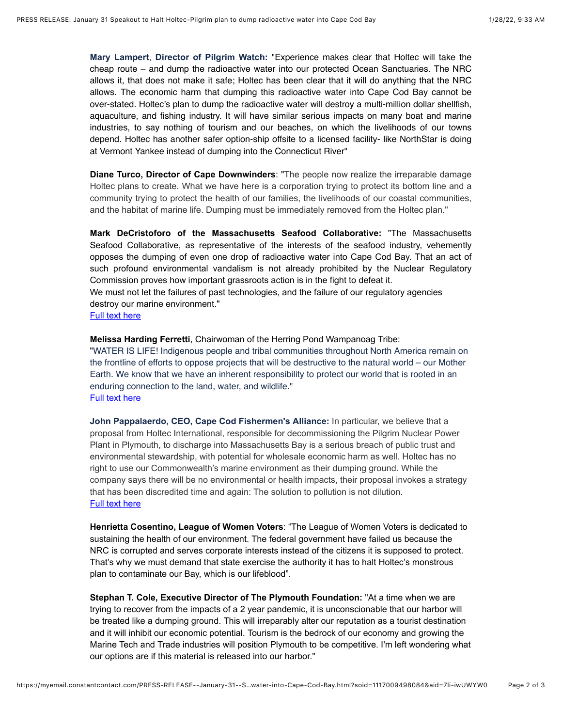**Mary Lampert**, **Director of Pilgrim Watch:** "Experience makes clear that Holtec will take the cheap route – and dump the radioactive water into our protected Ocean Sanctuaries. The NRC allows it, that does not make it safe; Holtec has been clear that it will do anything that the NRC allows. The economic harm that dumping this radioactive water into Cape Cod Bay cannot be over-stated. Holtec's plan to dump the radioactive water will destroy a multi-million dollar shellfish, aquaculture, and fishing industry. It will have similar serious impacts on many boat and marine industries, to say nothing of tourism and our beaches, on which the livelihoods of our towns depend. Holtec has another safer option-ship offsite to a licensed facility- like NorthStar is doing at Vermont Yankee instead of dumping into the Connecticut River"

**Diane Turco, Director of Cape Downwinders**: "The people now realize the irreparable damage Holtec plans to create. What we have here is a corporation trying to protect its bottom line and a community trying to protect the health of our families, the livelihoods of our coastal communities, and the habitat of marine life. Dumping must be immediately removed from the Holtec plan."

**Mark DeCristoforo of the Massachusetts Seafood Collaborative:** "The Massachusetts Seafood Collaborative, as representative of the interests of the seafood industry, vehemently opposes the dumping of even one drop of radioactive water into Cape Cod Bay. That an act of such profound environmental vandalism is not already prohibited by the Nuclear Regulatory Commission proves how important grassroots action is in the fight to defeat it.

We must not let the failures of past technologies, and the failure of our regulatory agencies destroy our marine environment."

[Full text here](https://files.constantcontact.com/4ef44f21401/649de2c2-e132-4087-96fe-a05e1dee63bf.pdf)

**Melissa Harding Ferretti**, Chairwoman of the Herring Pond Wampanoag Tribe:

"WATER IS LIFE! Indigenous people and tribal communities throughout North America remain on the frontline of efforts to oppose projects that will be destructive to the natural world – our Mother Earth. We know that we have an inherent responsibility to protect our world that is rooted in an enduring connection to the land, water, and wildlife." **[Full text here](https://files.constantcontact.com/4ef44f21401/119bd6ac-a6e8-4dde-8b2b-00e4380615dc.pdf)** 

**John Pappalaerdo, CEO, Cape Cod Fishermen's Alliance:** In particular, we believe that a proposal from Holtec International, responsible for decommissioning the Pilgrim Nuclear Power Plant in Plymouth, to discharge into Massachusetts Bay is a serious breach of public trust and environmental stewardship, with potential for wholesale economic harm as well. Holtec has no right to use our Commonwealth's marine environment as their dumping ground. While the company says there will be no environmental or health impacts, their proposal invokes a strategy that has been discredited time and again: The solution to pollution is not dilution. [Full text here](https://capecodfishermen.org/item/overthebar-0127?category_id=9)

**Henrietta Cosentino, League of Women Voters**: "The League of Women Voters is dedicated to sustaining the health of our environment. The federal government have failed us because the NRC is corrupted and serves corporate interests instead of the citizens it is supposed to protect. That's why we must demand that state exercise the authority it has to halt Holtec's monstrous plan to contaminate our Bay, which is our lifeblood".

**Stephan T. Cole, Executive Director of The Plymouth Foundation:** "At a time when we are trying to recover from the impacts of a 2 year pandemic, it is unconscionable that our harbor will be treated like a dumping ground. This will irreparably alter our reputation as a tourist destination and it will inhibit our economic potential. Tourism is the bedrock of our economy and growing the Marine Tech and Trade industries will position Plymouth to be competitive. I'm left wondering what our options are if this material is released into our harbor."